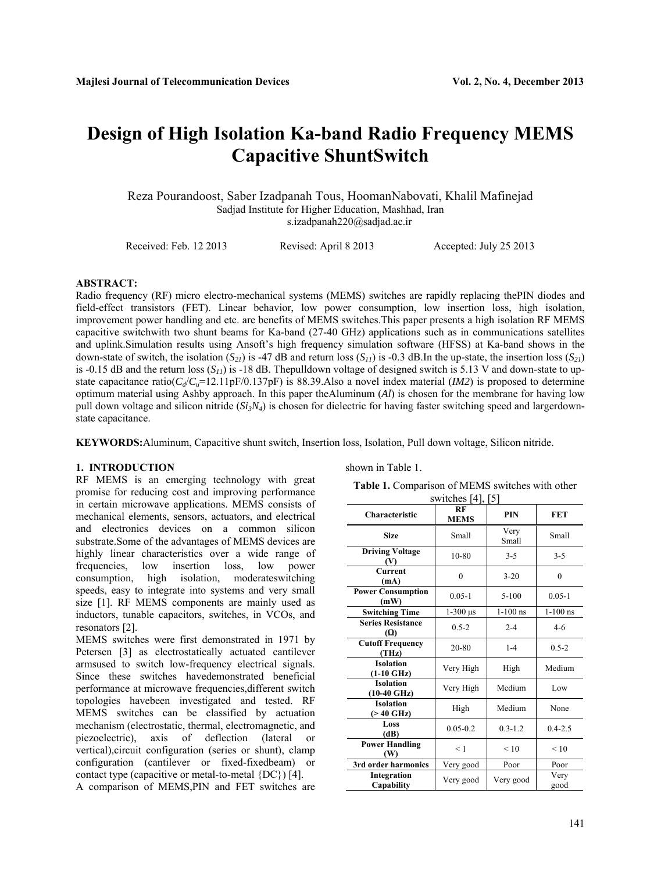# **Design of High Isolation Ka-band Radio Frequency MEMS Capacitive ShuntSwitch**

Reza Pourandoost, Saber Izadpanah Tous, HoomanNabovati, Khalil Mafinejad Sadjad Institute for Higher Education, Mashhad, Iran s.izadpanah220@sadjad.ac.ir

Received: Feb. 12 2013 Revised: April 8 2013 Accepted: July 25 2013

# **ABSTRACT:**

Radio frequency (RF) micro electro-mechanical systems (MEMS) switches are rapidly replacing thePIN diodes and field-effect transistors (FET). Linear behavior, low power consumption, low insertion loss, high isolation, improvement power handling and etc. are benefits of MEMS switches.This paper presents a high isolation RF MEMS capacitive switchwith two shunt beams for Ka-band (27-40 GHz) applications such as in communications satellites and uplink.Simulation results using Ansoft's high frequency simulation software (HFSS) at Ka-band shows in the down-state of switch, the isolation  $(S_{21})$  is -47 dB and return loss  $(S_{11})$  is -0.3 dB.In the up-state, the insertion loss  $(S_{21})$ is -0.15 dB and the return loss  $(S<sub>11</sub>)$  is -18 dB. The pulldown voltage of designed switch is 5.13 V and down-state to upstate capacitance ratio( $C_d/C_u$ =12.11pF/0.137pF) is 88.39.Also a novel index material (*IM2*) is proposed to determine optimum material using Ashby approach. In this paper theAluminum (*Al*) is chosen for the membrane for having low pull down voltage and silicon nitride (*Si<sub>3</sub>N<sub>4</sub>*) is chosen for dielectric for having faster switching speed and largerdownstate capacitance.

**KEYWORDS:**Aluminum, Capacitive shunt switch, Insertion loss, Isolation, Pull down voltage, Silicon nitride.

# **1. INTRODUCTION**

RF MEMS is an emerging technology with great promise for reducing cost and improving performance in certain microwave applications. MEMS consists of mechanical elements, sensors, actuators, and electrical and electronics devices on a common silicon substrate.Some of the advantages of MEMS devices are highly linear characteristics over a wide range of frequencies, low insertion loss, low power consumption, high isolation, moderateswitching speeds, easy to integrate into systems and very small size [1]. RF MEMS components are mainly used as inductors, tunable capacitors, switches, in VCOs, and resonators [2].

MEMS switches were first demonstrated in 1971 by Petersen [3] as electrostatically actuated cantilever armsused to switch low-frequency electrical signals. Since these switches havedemonstrated beneficial performance at microwave frequencies,different switch topologies havebeen investigated and tested. RF MEMS switches can be classified by actuation mechanism (electrostatic, thermal, electromagnetic, and piezoelectric), axis of deflection (lateral or vertical),circuit configuration (series or shunt), clamp configuration (cantilever or fixed-fixedbeam) or contact type (capacitive or metal-to-metal {DC}) [4].

A comparison of MEMS,PIN and FET switches are

shown in Table 1.

**Table 1.** Comparison of MEMS switches with other switches [4], [5]

| <b>Characteristic</b>                     | RF<br><b>MEMS</b>           | <b>PIN</b>    | <b>FET</b>   |
|-------------------------------------------|-----------------------------|---------------|--------------|
| <b>Size</b>                               | Small                       | Very<br>Small | Small        |
| <b>Driving Voltage</b><br>W               | $10 - 80$                   | $3 - 5$       | $3 - 5$      |
| Current<br>(mA)                           | $\theta$                    | $3 - 20$      | $\theta$     |
| <b>Power Consumption</b><br>(mW)          | $0.05 - 1$                  | $5 - 100$     | $0.05 - 1$   |
| <b>Switching Time</b>                     | $1-300 \text{ }\mu\text{s}$ | $1-100$ ns    | $1-100$ ns   |
| <b>Series Resistance</b><br><b>(Ω)</b>    | $0.5 - 2$                   | $2 - 4$       | $4 - 6$      |
| <b>Cutoff Frequency</b><br>(THz)          | 20-80                       | $1 - 4$       | $0.5 - 2$    |
| <b>Isolation</b><br>$(1-10 \text{ GHz})$  | Very High                   | High          | Medium       |
| <b>Isolation</b><br>$(10-40 \text{ GHz})$ | Very High                   | Medium        | Low          |
| <b>Isolation</b><br>$($ > 40 GHz)         | High                        | Medium        | None         |
| Loss<br>(dB)                              | $0.05 - 0.2$                | $0.3 - 1.2$   | $0.4 - 2.5$  |
| <b>Power Handling</b><br>(W)              | < 1                         | < 10          | < 10         |
| 3rd order harmonics                       | Very good                   | Poor          | Poor         |
| Integration<br>Capability                 | Very good                   | Very good     | Very<br>good |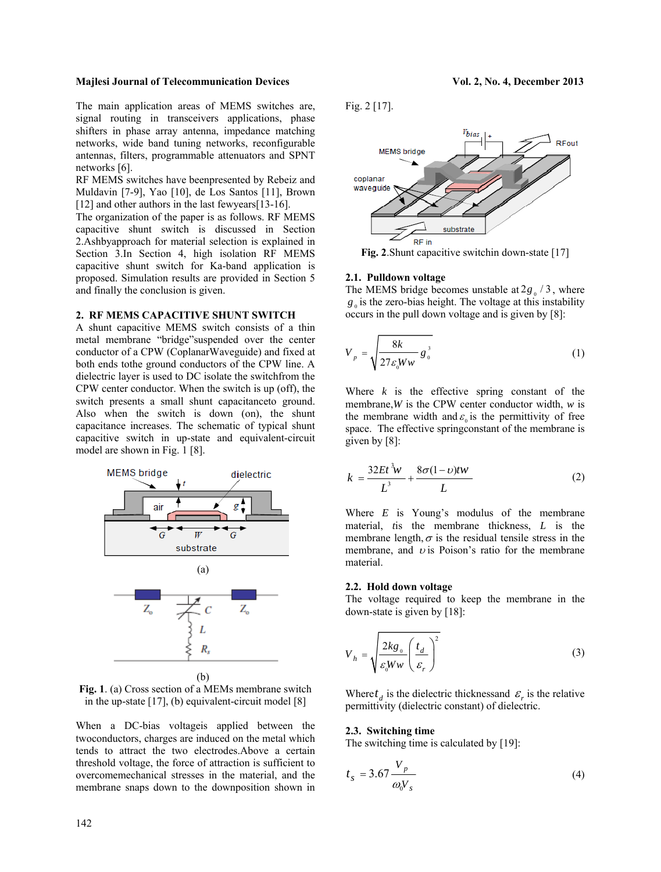The main application areas of MEMS switches are, signal routing in transceivers applications, phase shifters in phase array antenna, impedance matching networks, wide band tuning networks, reconfigurable antennas, filters, programmable attenuators and SPNT networks [6].

RF MEMS switches have beenpresented by Rebeiz and Muldavin [7-9], Yao [10], de Los Santos [11], Brown [12] and other authors in the last fewyears[13-16].

The organization of the paper is as follows. RF MEMS capacitive shunt switch is discussed in Section 2.Ashbyapproach for material selection is explained in Section 3.In Section 4, high isolation RF MEMS capacitive shunt switch for Ka-band application is proposed. Simulation results are provided in Section 5 and finally the conclusion is given.

#### **2. RF MEMS CAPACITIVE SHUNT SWITCH**

A shunt capacitive MEMS switch consists of a thin metal membrane "bridge"suspended over the center conductor of a CPW (CoplanarWaveguide) and fixed at both ends tothe ground conductors of the CPW line. A dielectric layer is used to DC isolate the switchfrom the CPW center conductor. When the switch is up (off), the switch presents a small shunt capacitanceto ground. Also when the switch is down (on), the shunt capacitance increases. The schematic of typical shunt capacitive switch in up-state and equivalent-circuit model are shown in Fig. 1 [8].



**Fig. 1**. (a) Cross section of a MEMs membrane switch in the up-state [17], (b) equivalent-circuit model [8]

When a DC-bias voltageis applied between the twoconductors, charges are induced on the metal which tends to attract the two electrodes.Above a certain threshold voltage, the force of attraction is sufficient to overcomemechanical stresses in the material, and the membrane snaps down to the downposition shown in

Fig. 2 [17].



**Fig. 2.** Shunt capacitive switchin down-state [17]

## **2.1. Pulldown voltage**

The MEMS bridge becomes unstable at  $2g<sub>0</sub> / 3$ , where  $g<sub>a</sub>$  is the zero-bias height. The voltage at this instability occurs in the pull down voltage and is given by [8]:

$$
V_p = \sqrt{\frac{8k}{27\epsilon_0 W w} g_o^3}
$$
 (1)

Where *k* is the effective spring constant of the membrane,*W* is the CPW center conductor width, *w* is the membrane width and  $\varepsilon$  is the permittivity of free space. The effective springconstant of the membrane is given by [8]:

$$
k = \frac{32Et^3w}{L^3} + \frac{8\sigma(1-v)t^2}{L}
$$
 (2)

Where *E* is Young's modulus of the membrane material, *t*is the membrane thickness, *L* is the membrane length,  $\sigma$  is the residual tensile stress in the membrane, and  $\upsilon$  is Poison's ratio for the membrane material.

#### **2.2. Hold down voltage**

The voltage required to keep the membrane in the down-state is given by [18]:

$$
V_h = \sqrt{\frac{2k g_0}{\varepsilon_0 W w} \left(\frac{t_d}{\varepsilon_r}\right)^2}
$$
 (3)

Where  $t_d$  is the dielectric thicknessand  $\varepsilon_r$  is the relative permittivity (dielectric constant) of dielectric.

# **2.3. Switching time**

The switching time is calculated by [19]:

$$
t_s = 3.67 \frac{V_p}{\omega_0 V_s} \tag{4}
$$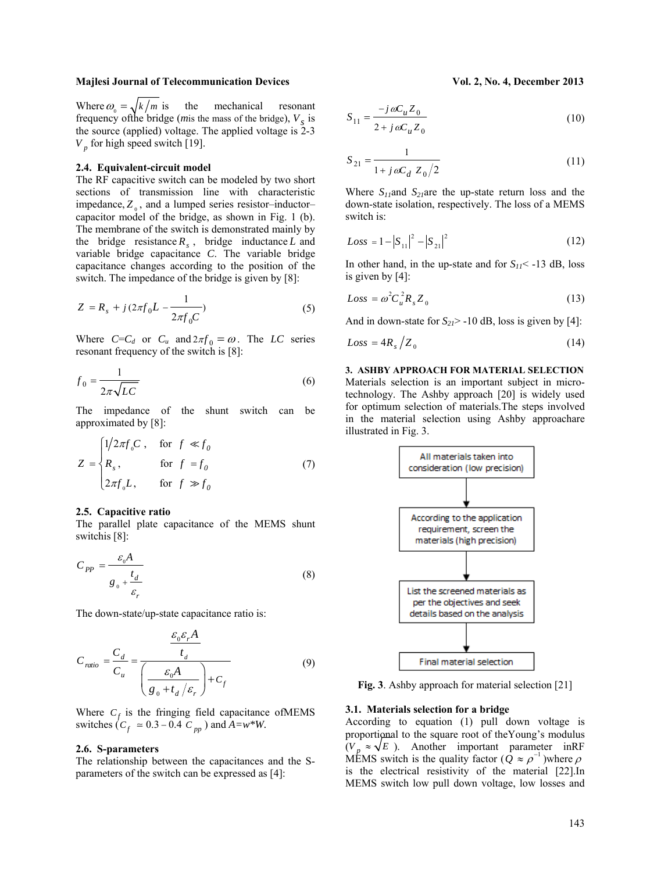Where  $\omega_0 = \sqrt{k/m}$  is the mechanical resonant frequency of the bridge (*m*is the mass of the bridge),  $V_s$  is the source (applied) voltage. The applied voltage is 2-3  $V_p$  for high speed switch [19].

#### **2.4. Equivalent-circuit model**

The RF capacitive switch can be modeled by two short sections of transmission line with characteristic impedance,  $Z_0$ , and a lumped series resistor–inductor– capacitor model of the bridge, as shown in Fig. 1 (b). The membrane of the switch is demonstrated mainly by the bridge resistance  $R_s$ , bridge inductance *L* and variable bridge capacitance *C*. The variable bridge capacitance changes according to the position of the switch. The impedance of the bridge is given by [8]:

$$
Z = R_s + j(2\pi f_0 L - \frac{1}{2\pi f_0 C})
$$
\n(5)

Where  $C=C_d$  or  $C_u$  and  $2\pi f_0 = \omega$ . The *LC* series resonant frequency of the switch is [8]:

$$
f_0 = \frac{1}{2\pi\sqrt{LC}}\tag{6}
$$

The impedance of the shunt switch can be approximated by [8]:

$$
Z = \begin{cases} 1/2\pi f_0 C, & \text{for } f \ll f_0 \\ R_s, & \text{for } f = f_0 \\ 2\pi f_0 L, & \text{for } f \gg f_0 \end{cases}
$$
 (7)

#### **2.5. Capacitive ratio**

The parallel plate capacitance of the MEMS shunt switchis [8]:

$$
C_{PP} = \frac{\varepsilon_{0}A}{g_{0} + \frac{t_{d}}{\varepsilon_{r}}}
$$
\n(8)

The down-state/up-state capacitance ratio is:

$$
C_{ratio} = \frac{C_d}{C_u} = \frac{\frac{\varepsilon_0 \varepsilon_r A}{t_d}}{\left(\frac{\varepsilon_0 A}{g_0 + t_d / \varepsilon_r}\right) + C_f}
$$
(9)

Where  $C_f$  is the fringing field capacitance of MEMS switches  $(C_f \approx 0.3 - 0.4 \, C_{pp})$  and  $A = w^*W$ .

#### **2.6. S-parameters**

The relationship between the capacitances and the Sparameters of the switch can be expressed as [4]:

$$
S_{11} = \frac{-j\,\omega C_u Z_0}{2 + j\,\omega C_u Z_0} \tag{10}
$$

$$
S_{21} = \frac{1}{1 + j\,\omega C_d \ Z_0 / 2} \tag{11}
$$

Where  $S_{11}$ and  $S_{21}$ are the up-state return loss and the down-state isolation, respectively. The loss of a MEMS switch is:

$$
Loss = 1 - |S_{11}|^2 - |S_{21}|^2 \tag{12}
$$

In other hand, in the up-state and for  $S_{11}$  < -13 dB, loss is given by [4]:

$$
Loss = \omega^2 C_u^2 R_s Z_0 \tag{13}
$$

And in down-state for  $S_{21}$  > -10 dB, loss is given by [4]:

$$
Loss = 4R_s / Z_0 \tag{14}
$$

**3. ASHBY APPROACH FOR MATERIAL SELECTION**  Materials selection is an important subject in microtechnology. The Ashby approach [20] is widely used for optimum selection of materials.The steps involved in the material selection using Ashby approachare illustrated in Fig. 3.



**Fig. 3**. Ashby approach for material selection [21]

#### **3.1. Materials selection for a bridge**

According to equation (1) pull down voltage is proportional to the square root of theYoung's modulus  $(V_p \approx \sqrt{E})$ . Another important parameter inRF MEMS switch is the quality factor  $(Q \approx \rho^{-1})$  where  $\rho$ is the electrical resistivity of the material [22].In MEMS switch low pull down voltage, low losses and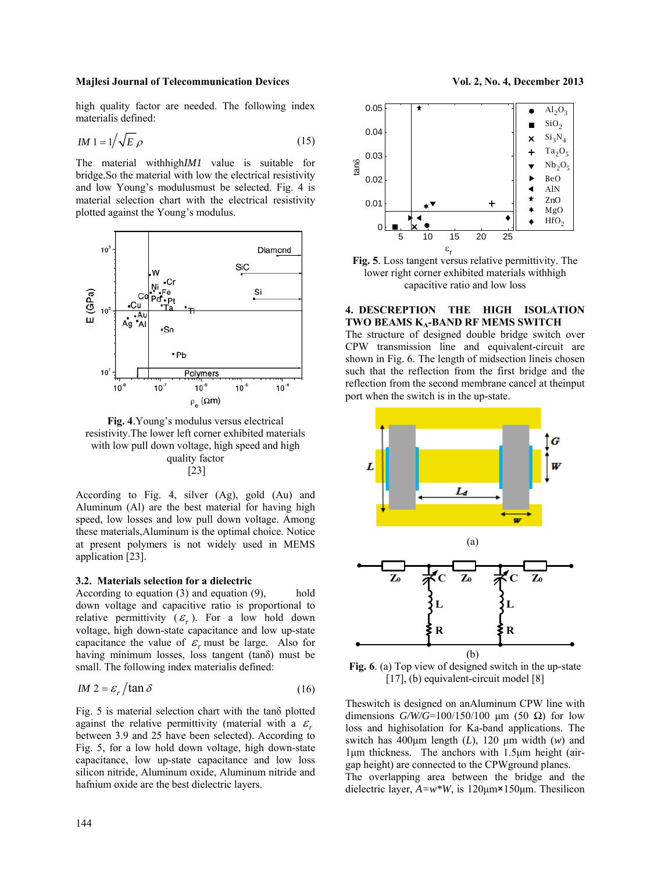high quality factor are needed. The following index materialis defined:

$$
IM1 = 1/\sqrt{E}\,\rho\tag{15}
$$

The material withhigh*IM1* value is suitable for bridge.So the material with low the electrical resistivity and low Young's modulusmust be selected. Fig. 4 is material selection chart with the electrical resistivity plotted against the Young's modulus.



**Fig. 4**.Young's modulus versus electrical resistivity.The lower left corner exhibited materials with low pull down voltage, high speed and high quality factor [23]

According to Fig. 4, silver (Ag), gold (Au) and Aluminum (Al) are the best material for having high speed, low losses and low pull down voltage. Among these materials,Aluminum is the optimal choice. Notice at present polymers is not widely used in MEMS application [23].

# **3.2. Materials selection for a dielectric**

According to equation  $(3)$  and equation  $(9)$ , hold down voltage and capacitive ratio is proportional to relative permittivity  $(\varepsilon)$ . For a low hold down voltage, high down-state capacitance and low up-state capacitance the value of  $\varepsilon_r$  must be large. Also for having minimum losses, loss tangent (tanδ) must be small. The following index materialis defined:

$$
IM 2 = \varepsilon_r / \tan \delta \tag{16}
$$

Fig. 5 is material selection chart with the tanδ plotted against the relative permittivity (material with a  $\varepsilon$ between 3.9 and 25 have been selected). According to Fig. 5, for a low hold down voltage, high down-state capacitance, low up-state capacitance and low loss silicon nitride, Aluminum oxide, Aluminum nitride and hafnium oxide are the best dielectric layers.





**Fig. 5**. Loss tangent versus relative permittivity. The lower right corner exhibited materials withhigh capacitive ratio and low loss

**4. DESCREPTION THE HIGH ISOLATION TWO BEAMS KA-BAND RF MEMS SWITCH** 

The structure of designed double bridge switch over CPW transmission line and equivalent-circuit are shown in Fig. 6. The length of midsection lineis chosen such that the reflection from the first bridge and the reflection from the second membrane cancel at theinput port when the switch is in the up-state.



**Fig. 6**. (a) Top view of designed switch in the up-state [17], (b) equivalent-circuit model [8]

Theswitch is designed on anAluminum CPW line with dimensions  $G/W/G=100/150/100 \mu m$  (50  $\Omega$ ) for low loss and highisolation for Ka-band applications. The switch has 400μm length (*L*), 120 μm width (*w*) and 1μm thickness. The anchors with 1.5μm height (airgap height) are connected to the CPWground planes. The overlapping area between the bridge and the dielectric layer, *A=w\*W*, is 120μm×150μm. Thesilicon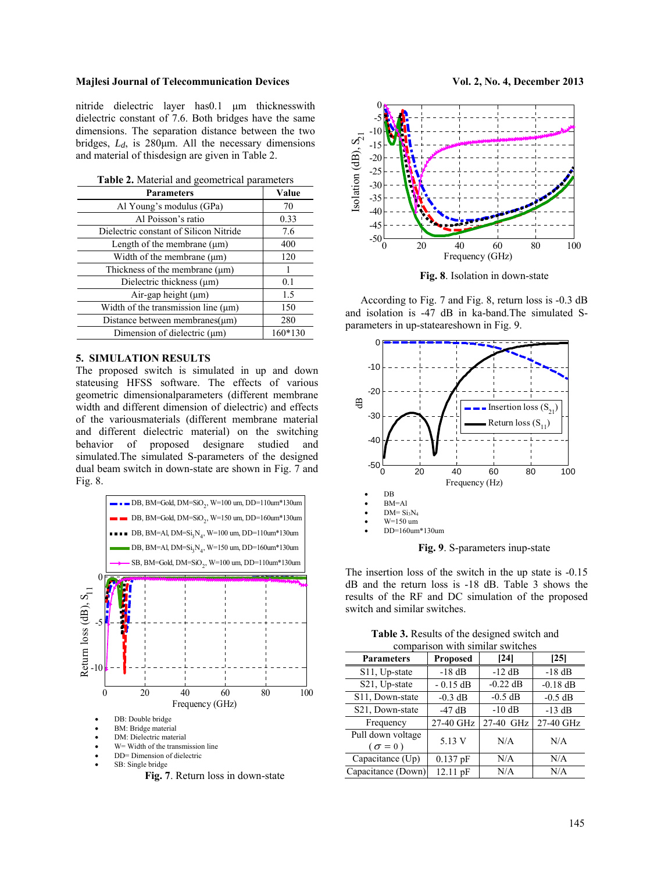nitride dielectric layer has0.1 μm thicknesswith dielectric constant of 7.6. Both bridges have the same dimensions. The separation distance between the two bridges, *Ld*, is 280μm. All the necessary dimensions and material of thisdesign are given in Table 2.

| <b>Parameters</b>                        | Value   |
|------------------------------------------|---------|
| Al Young's modulus (GPa)                 | 70      |
| Al Poisson's ratio                       | 0.33    |
| Dielectric constant of Silicon Nitride   | 7.6     |
| Length of the membrane $(\mu m)$         | 400     |
| Width of the membrane $(\mu m)$          | 120     |
| Thickness of the membrane (um)           |         |
| Dielectric thickness $(\mu m)$           | 0.1     |
| Air-gap height (µm)                      | 1.5     |
| Width of the transmission line $(\mu m)$ | 150     |
| Distance between membranes $(\mu m)$     | 280     |
| Dimension of dielectric (µm)             | 160*130 |

# **5. SIMULATION RESULTS**

The proposed switch is simulated in up and down stateusing HFSS software. The effects of various geometric dimensionalparameters (different membrane width and different dimension of dielectric) and effects of the variousmaterials (different membrane material and different dielectric material) on the switching behavior of proposed designare studied and simulated.The simulated S-parameters of the designed dual beam switch in down-state are shown in Fig. 7 and Fig. 8.





**Fig. 8**. Isolation in down-state

According to Fig. 7 and Fig. 8, return loss is -0.3 dB and isolation is -47 dB in ka-band.The simulated Sparameters in up-stateareshown in Fig. 9.



**Fig. 9**. S-parameters inup-state

The insertion loss of the switch in the up state is -0.15 dB and the return loss is -18 dB. Table 3 shows the results of the RF and DC simulation of the proposed switch and similar switches.

| comparison with similar switches    |                 |            |            |  |
|-------------------------------------|-----------------|------------|------------|--|
| <b>Parameters</b>                   | <b>Proposed</b> | [24]       | [25]       |  |
| S11, Up-state                       | $-18$ dB        | $-12$ dB   | $-18$ dB   |  |
| S21, Up-state                       | $-0.15$ dB      | $-0.22$ dB | $-0.18$ dB |  |
| S11, Down-state                     | $-0.3$ dB       | $-0.5$ dB  | $-0.5$ dB  |  |
| S <sub>21</sub> , Down-state        | $-47$ dB        | $-10$ dB   | $-13$ dB   |  |
| Frequency                           | 27-40 GHz       | 27-40 GHz  | 27-40 GHz  |  |
| Pull down voltage<br>$\sigma = 0$ ) | 5.13 V          | N/A        | N/A        |  |
| Capacitance (Up)                    | $0.137$ pF      | N/A        | N/A        |  |
| Capacitance (Down)                  | 12.11 pF        | N/A        | N/A        |  |

**Table 3.** Results of the designed switch and